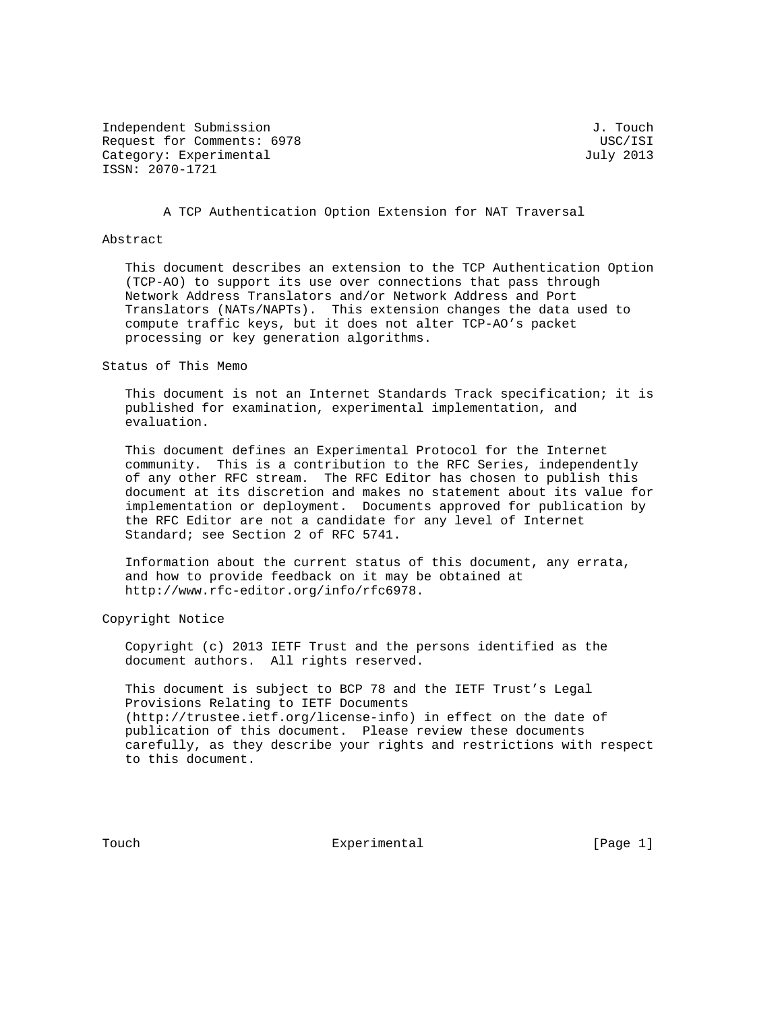Independent Submission **J. The Submission** J. Touch Request for Comments: 6978 USC/ISI Category: Experimental and July 2013 ISSN: 2070-1721

A TCP Authentication Option Extension for NAT Traversal

## Abstract

 This document describes an extension to the TCP Authentication Option (TCP-AO) to support its use over connections that pass through Network Address Translators and/or Network Address and Port Translators (NATs/NAPTs). This extension changes the data used to compute traffic keys, but it does not alter TCP-AO's packet processing or key generation algorithms.

Status of This Memo

 This document is not an Internet Standards Track specification; it is published for examination, experimental implementation, and evaluation.

 This document defines an Experimental Protocol for the Internet community. This is a contribution to the RFC Series, independently of any other RFC stream. The RFC Editor has chosen to publish this document at its discretion and makes no statement about its value for implementation or deployment. Documents approved for publication by the RFC Editor are not a candidate for any level of Internet Standard; see Section 2 of RFC 5741.

 Information about the current status of this document, any errata, and how to provide feedback on it may be obtained at http://www.rfc-editor.org/info/rfc6978.

Copyright Notice

 Copyright (c) 2013 IETF Trust and the persons identified as the document authors. All rights reserved.

 This document is subject to BCP 78 and the IETF Trust's Legal Provisions Relating to IETF Documents (http://trustee.ietf.org/license-info) in effect on the date of publication of this document. Please review these documents carefully, as they describe your rights and restrictions with respect to this document.

Touch **Experimental** Experimental [Page 1]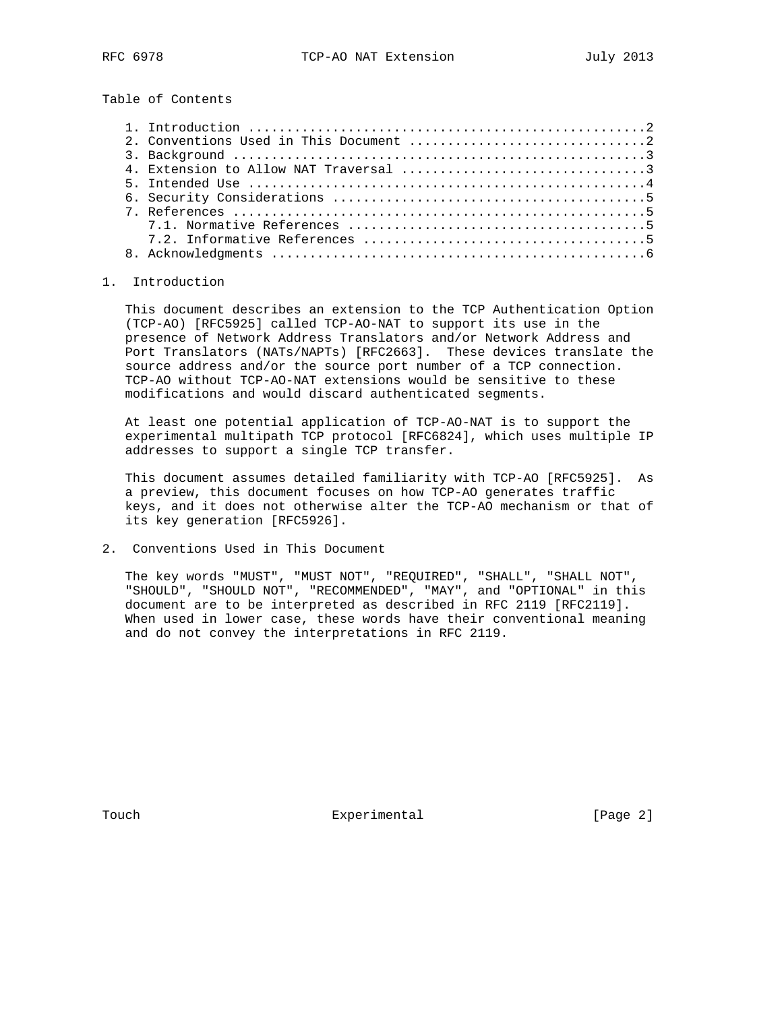Table of Contents

## 1. Introduction

 This document describes an extension to the TCP Authentication Option (TCP-AO) [RFC5925] called TCP-AO-NAT to support its use in the presence of Network Address Translators and/or Network Address and Port Translators (NATs/NAPTs) [RFC2663]. These devices translate the source address and/or the source port number of a TCP connection. TCP-AO without TCP-AO-NAT extensions would be sensitive to these modifications and would discard authenticated segments.

 At least one potential application of TCP-AO-NAT is to support the experimental multipath TCP protocol [RFC6824], which uses multiple IP addresses to support a single TCP transfer.

 This document assumes detailed familiarity with TCP-AO [RFC5925]. As a preview, this document focuses on how TCP-AO generates traffic keys, and it does not otherwise alter the TCP-AO mechanism or that of its key generation [RFC5926].

2. Conventions Used in This Document

 The key words "MUST", "MUST NOT", "REQUIRED", "SHALL", "SHALL NOT", "SHOULD", "SHOULD NOT", "RECOMMENDED", "MAY", and "OPTIONAL" in this document are to be interpreted as described in RFC 2119 [RFC2119]. When used in lower case, these words have their conventional meaning and do not convey the interpretations in RFC 2119.

Touch **Experimental** Experimental [Page 2]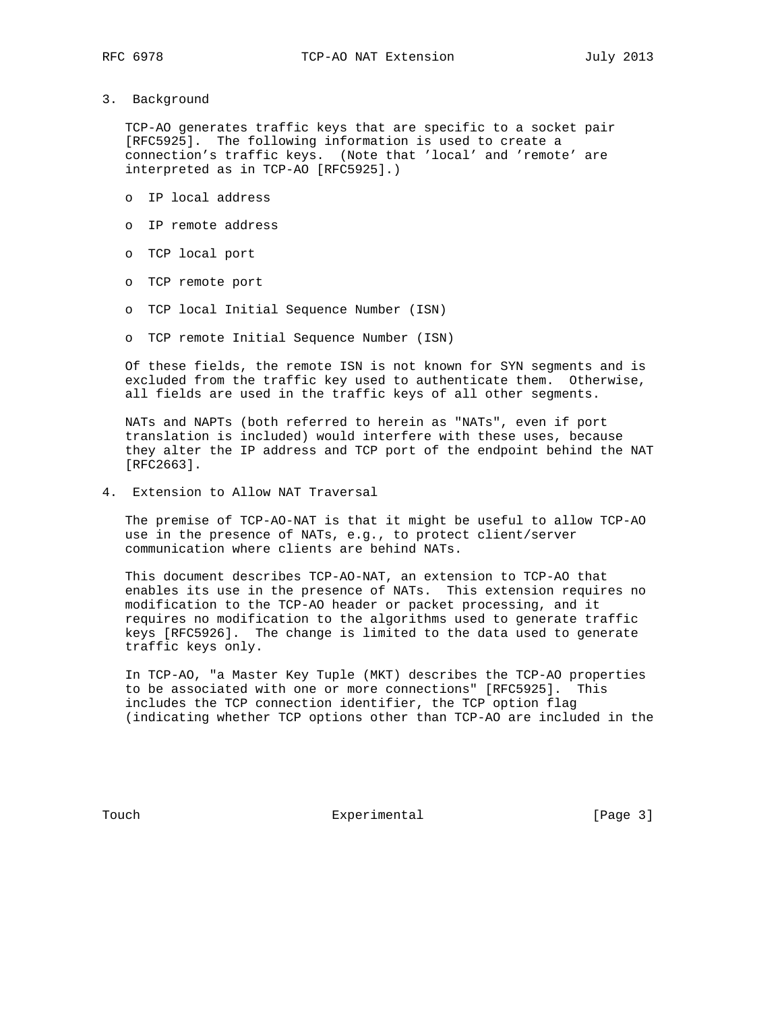3. Background

 TCP-AO generates traffic keys that are specific to a socket pair [RFC5925]. The following information is used to create a connection's traffic keys. (Note that 'local' and 'remote' are interpreted as in TCP-AO [RFC5925].)

- o IP local address
- o IP remote address
- o TCP local port
- o TCP remote port
- o TCP local Initial Sequence Number (ISN)
- o TCP remote Initial Sequence Number (ISN)

 Of these fields, the remote ISN is not known for SYN segments and is excluded from the traffic key used to authenticate them. Otherwise, all fields are used in the traffic keys of all other segments.

 NATs and NAPTs (both referred to herein as "NATs", even if port translation is included) would interfere with these uses, because they alter the IP address and TCP port of the endpoint behind the NAT [RFC2663].

4. Extension to Allow NAT Traversal

 The premise of TCP-AO-NAT is that it might be useful to allow TCP-AO use in the presence of NATs, e.g., to protect client/server communication where clients are behind NATs.

 This document describes TCP-AO-NAT, an extension to TCP-AO that enables its use in the presence of NATs. This extension requires no modification to the TCP-AO header or packet processing, and it requires no modification to the algorithms used to generate traffic keys [RFC5926]. The change is limited to the data used to generate traffic keys only.

 In TCP-AO, "a Master Key Tuple (MKT) describes the TCP-AO properties to be associated with one or more connections" [RFC5925]. This includes the TCP connection identifier, the TCP option flag (indicating whether TCP options other than TCP-AO are included in the

Touch **Experimental** Experimental [Page 3]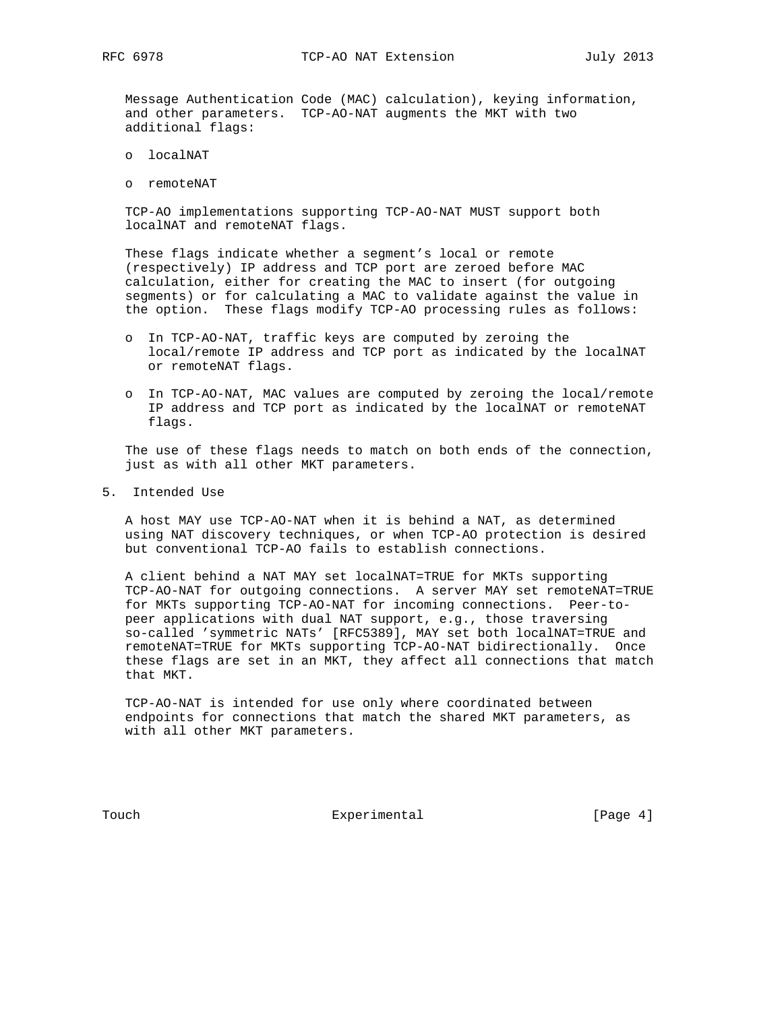Message Authentication Code (MAC) calculation), keying information, and other parameters. TCP-AO-NAT augments the MKT with two additional flags:

- o localNAT
- o remoteNAT

 TCP-AO implementations supporting TCP-AO-NAT MUST support both localNAT and remoteNAT flags.

 These flags indicate whether a segment's local or remote (respectively) IP address and TCP port are zeroed before MAC calculation, either for creating the MAC to insert (for outgoing segments) or for calculating a MAC to validate against the value in the option. These flags modify TCP-AO processing rules as follows:

- o In TCP-AO-NAT, traffic keys are computed by zeroing the local/remote IP address and TCP port as indicated by the localNAT or remoteNAT flags.
- o In TCP-AO-NAT, MAC values are computed by zeroing the local/remote IP address and TCP port as indicated by the localNAT or remoteNAT flags.

 The use of these flags needs to match on both ends of the connection, just as with all other MKT parameters.

5. Intended Use

 A host MAY use TCP-AO-NAT when it is behind a NAT, as determined using NAT discovery techniques, or when TCP-AO protection is desired but conventional TCP-AO fails to establish connections.

 A client behind a NAT MAY set localNAT=TRUE for MKTs supporting TCP-AO-NAT for outgoing connections. A server MAY set remoteNAT=TRUE for MKTs supporting TCP-AO-NAT for incoming connections. Peer-to peer applications with dual NAT support, e.g., those traversing so-called 'symmetric NATs' [RFC5389], MAY set both localNAT=TRUE and remoteNAT=TRUE for MKTs supporting TCP-AO-NAT bidirectionally. Once these flags are set in an MKT, they affect all connections that match that MKT.

 TCP-AO-NAT is intended for use only where coordinated between endpoints for connections that match the shared MKT parameters, as with all other MKT parameters.

Touch **Experimental** Experimental [Page 4]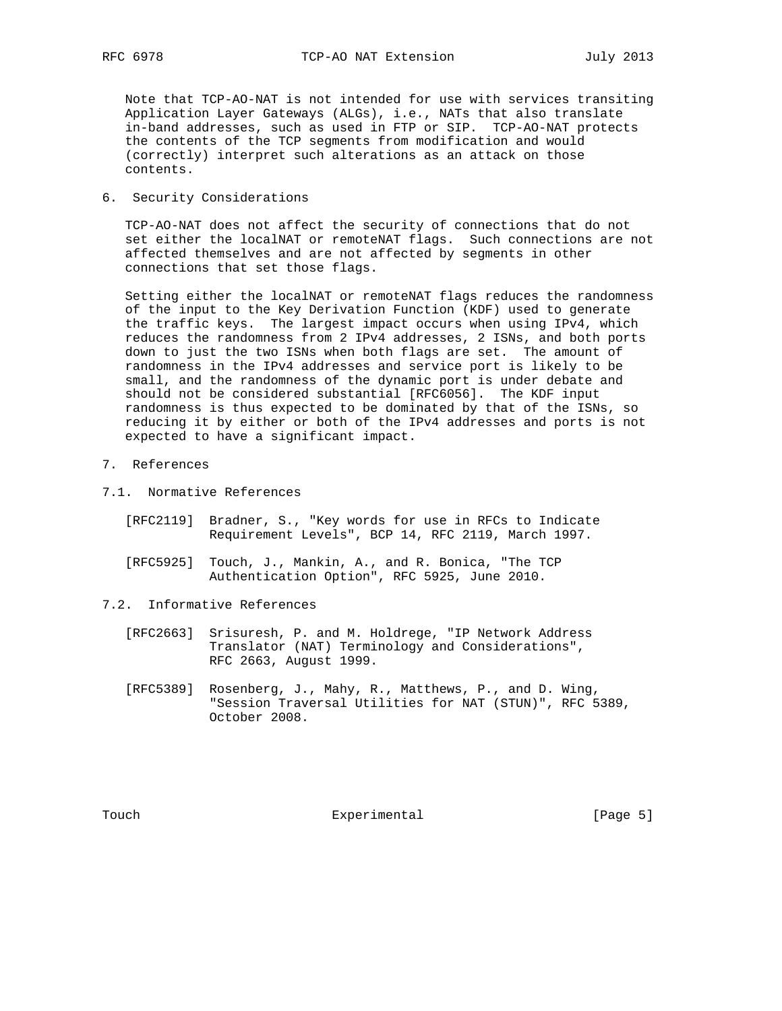Note that TCP-AO-NAT is not intended for use with services transiting Application Layer Gateways (ALGs), i.e., NATs that also translate in-band addresses, such as used in FTP or SIP. TCP-AO-NAT protects the contents of the TCP segments from modification and would (correctly) interpret such alterations as an attack on those contents.

6. Security Considerations

 TCP-AO-NAT does not affect the security of connections that do not set either the localNAT or remoteNAT flags. Such connections are not affected themselves and are not affected by segments in other connections that set those flags.

 Setting either the localNAT or remoteNAT flags reduces the randomness of the input to the Key Derivation Function (KDF) used to generate the traffic keys. The largest impact occurs when using IPv4, which reduces the randomness from 2 IPv4 addresses, 2 ISNs, and both ports down to just the two ISNs when both flags are set. The amount of randomness in the IPv4 addresses and service port is likely to be small, and the randomness of the dynamic port is under debate and should not be considered substantial [RFC6056]. The KDF input randomness is thus expected to be dominated by that of the ISNs, so reducing it by either or both of the IPv4 addresses and ports is not expected to have a significant impact.

## 7. References

- 7.1. Normative References
	- [RFC2119] Bradner, S., "Key words for use in RFCs to Indicate Requirement Levels", BCP 14, RFC 2119, March 1997.
	- [RFC5925] Touch, J., Mankin, A., and R. Bonica, "The TCP Authentication Option", RFC 5925, June 2010.
- 7.2. Informative References
	- [RFC2663] Srisuresh, P. and M. Holdrege, "IP Network Address Translator (NAT) Terminology and Considerations", RFC 2663, August 1999.
	- [RFC5389] Rosenberg, J., Mahy, R., Matthews, P., and D. Wing, "Session Traversal Utilities for NAT (STUN)", RFC 5389, October 2008.

Touch **Experimental** Experimental [Page 5]